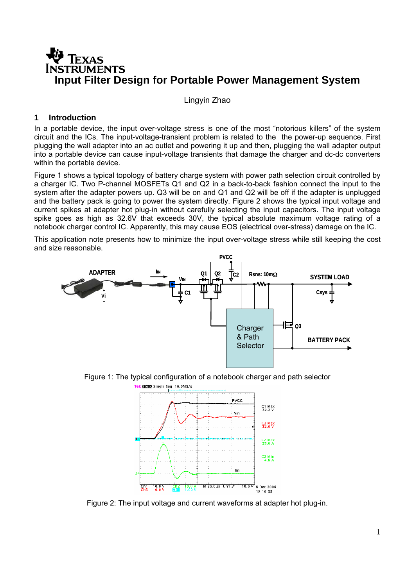# **TEXAS RUMENTS Input Filter Design for Portable Power Management System**

Lingyin Zhao

## **1 Introduction**

In a portable device, the input over-voltage stress is one of the most "notorious killers" of the system circuit and the ICs. The input-voltage-transient problem is related to the the power-up sequence. First plugging the wall adapter into an ac outlet and powering it up and then, plugging the wall adapter output into a portable device can cause input-voltage transients that damage the charger and dc-dc converters within the portable device.

Figure 1 shows a typical topology of battery charge system with power path selection circuit controlled by a charger IC. Two P-channel MOSFETs Q1 and Q2 in a back-to-back fashion connect the input to the system after the adapter powers up. Q3 will be on and Q1 and Q2 will be off if the adapter is unplugged and the battery pack is going to power the system directly. Figure 2 shows the typical input voltage and current spikes at adapter hot plug-in without carefully selecting the input capacitors. The input voltage spike goes as high as 32.6V that exceeds 30V, the typical absolute maximum voltage rating of a notebook charger control IC. Apparently, this may cause EOS (electrical over-stress) damage on the IC.

This application note presents how to minimize the input over-voltage stress while still keeping the cost and size reasonable.



Figure 1: The typical configuration of a notebook charger and path selector



Figure 2: The input voltage and current waveforms at adapter hot plug-in.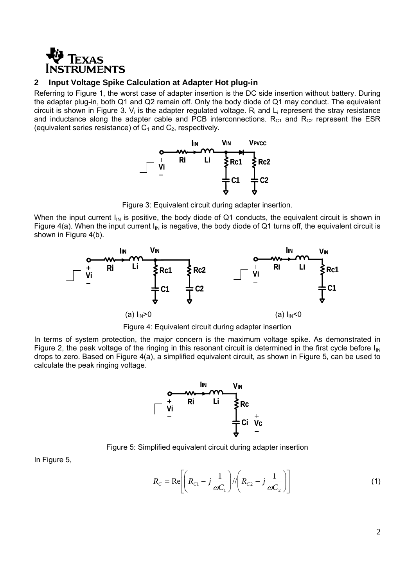

#### **2 Input Voltage Spike Calculation at Adapter Hot plug-in**

Referring to Figure 1, the worst case of adapter insertion is the DC side insertion without battery. During the adapter plug-in, both Q1 and Q2 remain off. Only the body diode of Q1 may conduct. The equivalent circuit is shown in Figure 3.  $V_i$  is the adapter regulated voltage.  $R_i$  and  $L_i$  represent the stray resistance and inductance along the adapter cable and PCB interconnections.  $R<sub>C1</sub>$  and  $R<sub>C2</sub>$  represent the ESR (equivalent series resistance) of  $C_1$  and  $C_2$ , respectively.



Figure 3: Equivalent circuit during adapter insertion.

When the input current  $I_{IN}$  is positive, the body diode of Q1 conducts, the equivalent circuit is shown in Figure 4(a). When the input current  $I_{IN}$  is negative, the body diode of Q1 turns off, the equivalent circuit is shown in Figure 4(b).



Figure 4: Equivalent circuit during adapter insertion

In terms of system protection, the major concern is the maximum voltage spike. As demonstrated in Figure 2, the peak voltage of the ringing in this resonant circuit is determined in the first cycle before  $I_{IN}$ drops to zero. Based on Figure 4(a), a simplified equivalent circuit, as shown in Figure 5, can be used to calculate the peak ringing voltage.



Figure 5: Simplified equivalent circuit during adapter insertion

In Figure 5,

$$
R_{C} = \text{Re}\left[ \left( R_{C1} - j \frac{1}{\omega C_1} \right) / \left( R_{C2} - j \frac{1}{\omega C_2} \right) \right]
$$
 (1)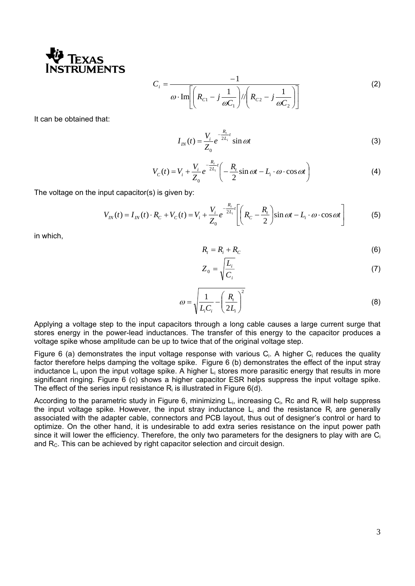

$$
C_i = \frac{-1}{\omega \cdot \text{Im}\left[\left(R_{c1} - j\frac{1}{\omega C_1}\right) / \left(R_{c2} - j\frac{1}{\omega C_2}\right)\right]}
$$
(2)

It can be obtained that:

$$
I_{I}(t) = \frac{V_i}{Z_0} e^{-\frac{R_t}{2L_i}t} \sin \omega t
$$
 (3)

$$
V_C(t) = V_i + \frac{V_i}{Z_0} e^{-\frac{R_i}{2L_i}t} \left( -\frac{R_i}{2} \sin \omega t - L_i \cdot \omega \cdot \cos \omega t \right)
$$
 (4)

The voltage on the input capacitor(s) is given by:

$$
V_{IN}(t) = I_{IN}(t) \cdot R_C + V_C(t) = V_i + \frac{V_i}{Z_0} e^{-\frac{R_i}{2L_i}t} \left[ \left( R_C - \frac{R_i}{2} \right) \sin \omega t - L_i \cdot \omega \cdot \cos \omega t \right]
$$
(5)

in which,

$$
R_t = R_i + R_C \tag{6}
$$

$$
Z_0 = \sqrt{\frac{L_i}{C_i}}\tag{7}
$$

$$
\omega = \sqrt{\frac{1}{L_i C_i} - \left(\frac{R_i}{2L_i}\right)^2}
$$
\n(8)

Applying a voltage step to the input capacitors through a long cable causes a large current surge that stores energy in the power-lead inductances. The transfer of this energy to the capacitor produces a voltage spike whose amplitude can be up to twice that of the original voltage step.

Figure 6 (a) demonstrates the input voltage response with various  $C_i$ . A higher  $C_i$  reduces the quality factor therefore helps damping the voltage spike. Figure 6 (b) demonstrates the effect of the input stray inductance  $L_i$  upon the input voltage spike. A higher  $L_i$  stores more parasitic energy that results in more significant ringing. Figure 6 (c) shows a higher capacitor ESR helps suppress the input voltage spike. The effect of the series input resistance  $R_i$  is illustrated in Figure 6(d).

According to the parametric study in Figure 6, minimizing Li, increasing Ci, Rc and Ri will help suppress the input voltage spike. However, the input stray inductance  $L_i$  and the resistance  $R_i$  are generally associated with the adapter cable, connectors and PCB layout, thus out of designer's control or hard to optimize. On the other hand, it is undesirable to add extra series resistance on the input power path since it will lower the efficiency. Therefore, the only two parameters for the designers to play with are  $C_i$ and  $R<sub>c</sub>$ . This can be achieved by right capacitor selection and circuit design.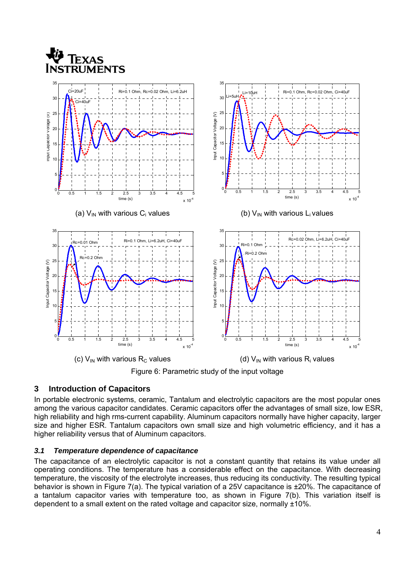

Figure 6: Parametric study of the input voltage

## **3 Introduction of Capacitors**

In portable electronic systems, ceramic, Tantalum and electrolytic capacitors are the most popular ones among the various capacitor candidates. Ceramic capacitors offer the advantages of small size, low ESR, high reliability and high rms-current capability. Aluminum capacitors normally have higher capacity, larger size and higher ESR. Tantalum capacitors own small size and high volumetric efficiency, and it has a higher reliability versus that of Aluminum capacitors.

## *3.1 Temperature dependence of capacitance*

The capacitance of an electrolytic capacitor is not a constant quantity that retains its value under all operating conditions. The temperature has a considerable effect on the capacitance. With decreasing temperature, the viscosity of the electrolyte increases, thus reducing its conductivity. The resulting typical behavior is shown in Figure 7(a). The typical variation of a 25V capacitance is ±20%. The capacitance of a tantalum capacitor varies with temperature too, as shown in Figure 7(b). This variation itself is dependent to a small extent on the rated voltage and capacitor size, normally ±10%.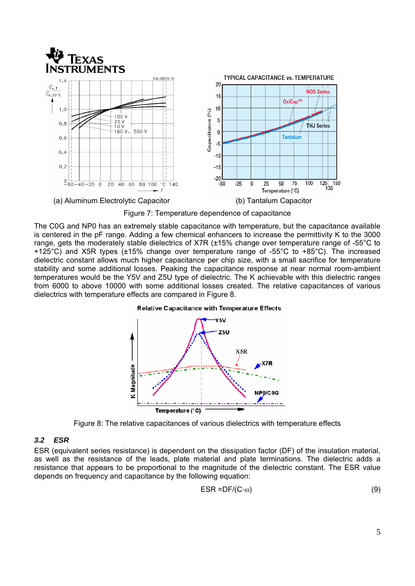

Figure 7: Temperature dependence of capacitance

The C0G and NP0 has an extremely stable capacitance with temperature, but the capacitance available is centered in the pF range. Adding a few chemical enhancers to increase the permittivity K to the 3000 range, gets the moderately stable dielectrics of X7R (±15% change over temperature range of -55°C to +125°C) and X5R types (±15% change over temperature range of -55°C to +85°C). The increased dielectric constant allows much higher capacitance per chip size, with a small sacrifice for temperature stability and some additional losses. Peaking the capacitance response at near normal room-ambient temperatures would be the Y5V and Z5U type of dielectric. The K achievable with this dielectric ranges from 6000 to above 10000 with some additional losses created. The relative capacitances of various dielectrics with temperature effects are compared in Figure 8.



Figure 8: The relative capacitances of various dielectrics with temperature effects

## *3.2 ESR*

ESR (equivalent series resistance) is dependent on the dissipation factor (DF) of the insulation material, as well as the resistance of the leads, plate material and plate terminations. The dielectric adds a resistance that appears to be proportional to the magnitude of the dielectric constant. The ESR value depends on frequency and capacitance by the following equation:

$$
ESR = DF/(C \cdot \omega) \tag{9}
$$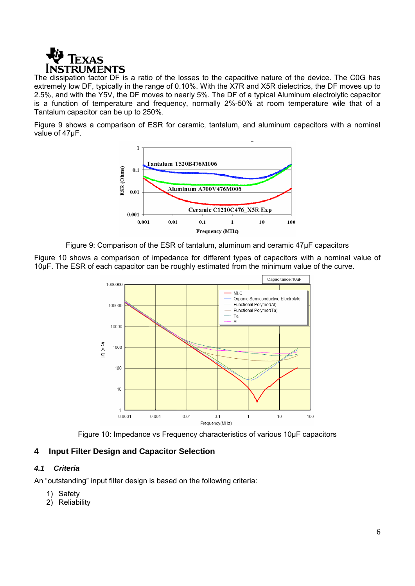

The dissipation factor DF is a ratio of the losses to the capacitive nature of the device. The C0G has extremely low DF, typically in the range of 0.10%. With the X7R and X5R dielectrics, the DF moves up to 2.5%, and with the Y5V, the DF moves to nearly 5%. The DF of a typical Aluminum electrolytic capacitor is a function of temperature and frequency, normally 2%-50% at room temperature wile that of a Tantalum capacitor can be up to 250%.

Figure 9 shows a comparison of ESR for ceramic, tantalum, and aluminum capacitors with a nominal value of 47µF.



Figure 9: Comparison of the ESR of tantalum, aluminum and ceramic 47µF capacitors

Figure 10 shows a comparison of impedance for different types of capacitors with a nominal value of 10µF. The ESR of each capacitor can be roughly estimated from the minimum value of the curve.



Figure 10: Impedance vs Frequency characteristics of various 10µF capacitors

## **4 Input Filter Design and Capacitor Selection**

## *4.1 Criteria*

An "outstanding" input filter design is based on the following criteria:

- 1) Safety
- 2) Reliability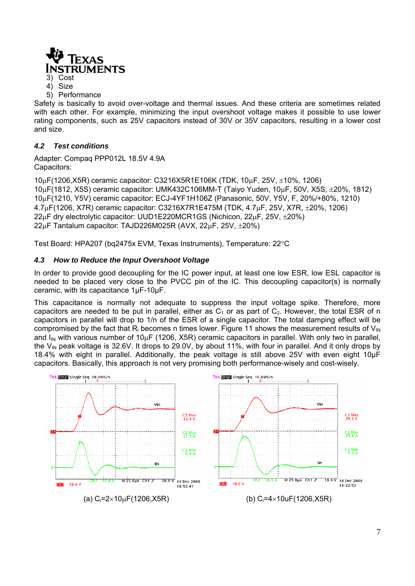

3) Cost

4) Size

5) Performance

Safety is basically to avoid over-voltage and thermal issues. And these criteria are sometimes related with each other. For example, minimizing the input overshoot voltage makes it possible to use lower rating components, such as 25V capacitors instead of 30V or 35V capacitors, resulting in a lower cost and size.

## *4.2 Test conditions*

Adapter: Compaq PPP012L 18.5V 4.9A Capacitors:

μF(1206,X5R) ceramic capacitor: C3216X5R1E106K (TDK, 10μF, 25V, ±10%, 1206) μF(1812, X5S) ceramic capacitor: UMK432C106MM-T (Taiyo Yuden, 10μF, 50V, X5S, ±20%, 1812) μF(1210, Y5V) ceramic capacitor: ECJ-4YF1H106Z (Panasonic, 50V, Y5V, F, 20%/+80%, 1210) 4.7μF(1206, X7R) ceramic capacitor: C3216X7R1E475M (TDK, 4.7μF, 25V, X7R, ±20%, 1206) μF dry electrolytic capacitor: UUD1E220MCR1GS (Nichicon, 22μF, 25V, ±20%) μF Tantalum capacitor: TAJD226M025R (AVX, 22μF, 25V, ±20%)

Test Board: HPA207 (bq2475x EVM, Texas Instruments), Temperature: 22°C

## *4.3 How to Reduce the Input Overshoot Voltage*

In order to provide good decoupling for the IC power input, at least one low ESR, low ESL capacitor is needed to be placed very close to the PVCC pin of the IC. This decoupling capacitor(s) is normally ceramic, with its capacitance 1µF-10µF.

This capacitance is normally not adequate to suppress the input voltage spike. Therefore, more capacitors are needed to be put in parallel, either as  $C_1$  or as part of  $C_2$ . However, the total ESR of n capacitors in parallel will drop to 1/n of the ESR of a single capacitor. The total damping effect will be compromised by the fact that  $R_i$  becomes n times lower. Figure 11 shows the measurement results of  $V_{IN}$ and  $I_{\text{IN}}$  with various number of 10<sub>μ</sub>F (1206, X5R) ceramic capacitors in parallel. With only two in parallel, the  $V_{IN}$  peak voltage is 32.6V. It drops to 29.0V, by about 11%, with four in parallel. And it only drops by 18.4% with eight in parallel. Additionally, the peak voltage is still above 25V with even eight 10µF capacitors. Basically, this approach is not very promising both performance-wisely and cost-wisely.

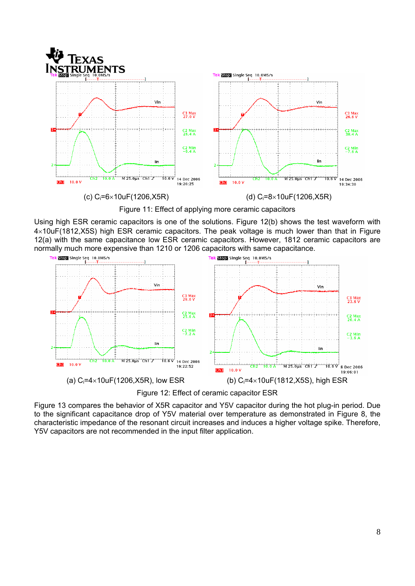

Figure 11: Effect of applying more ceramic capacitors

Using high ESR ceramic capacitors is one of the solutions. Figure 12(b) shows the test waveform with 4×10uF(1812,X5S) high ESR ceramic capacitors. The peak voltage is much lower than that in Figure 12(a) with the same capacitance low ESR ceramic capacitors. However, 1812 ceramic capacitors are normally much more expensive than 1210 or 1206 capacitors with same capacitance.



Figure 12: Effect of ceramic capacitor ESR

Figure 13 compares the behavior of X5R capacitor and Y5V capacitor during the hot plug-in period. Due to the significant capacitance drop of Y5V material over temperature as demonstrated in Figure 8, the characteristic impedance of the resonant circuit increases and induces a higher voltage spike. Therefore, Y5V capacitors are not recommended in the input filter application.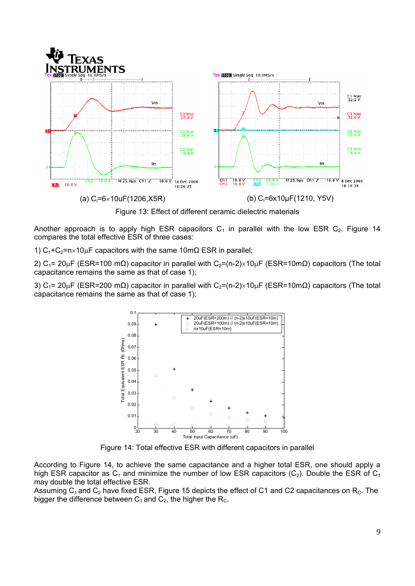



Another approach is to apply high ESR capacitors  $C_1$  in parallel with the low ESR  $C_2$ . Figure 14 compares the total effective ESR of three cases:

1)  $C_1 + C_2 = n \times 10 \mu$ F capacitors with the same 10m $\Omega$  ESR in parallel;

2) C<sub>1</sub>= 20μF (ESR=100 mΩ) capacitor in parallel with C<sub>2</sub>=(n-2)×10μF (ESR=10mΩ) capacitors (The total capacitance remains the same as that of case 1);

3) C<sub>1</sub>= 20<sub>μ</sub>F (ESR=200 mΩ) capacitor in parallel with C<sub>2</sub>=(n-2)×10<sub>μ</sub>F (ESR=10mΩ) capacitors (The total capacitance remains the same as that of case 1);



Figure 14: Total effective ESR with different capacitors in parallel

According to Figure 14, to achieve the same capacitance and a higher total ESR, one should apply a high ESR capacitor as  $C_1$  and minimize the number of low ESR capacitors ( $C_2$ ). Double the ESR of  $C_1$ may double the total effective ESR.

Assuming  $C_1$  and  $C_2$  have fixed ESR, Figure 15 depicts the effect of C1 and C2 capacitances on R<sub>C</sub>. The bigger the difference between  $C_1$  and  $C_2$ , the higher the R<sub>C</sub>.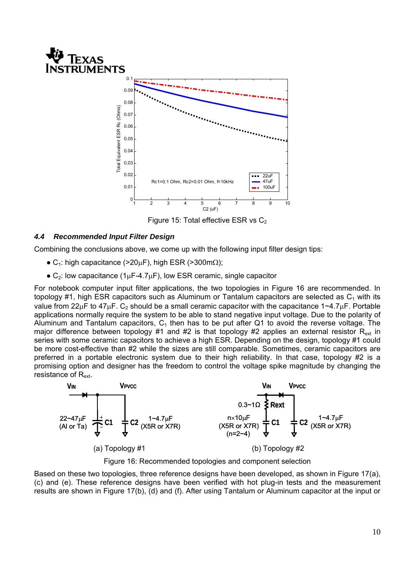



Figure 15: Total effective ESR vs  $C_2$ 

## *4.4 Recommended Input Filter Design*

Combining the conclusions above, we come up with the following input filter design tips:

- $\bullet$  C<sub>1</sub>: high capacitance (>20μF), high ESR (>300m $\Omega$ );
- $\bullet$  C<sub>2</sub>: low capacitance (1<sub>μ</sub>F-4.7<sub>μ</sub>F), low ESR ceramic, single capacitor

For notebook computer input filter applications, the two topologies in Figure 16 are recommended. In topology #1, high ESR capacitors such as Aluminum or Tantalum capacitors are selected as  $C_1$  with its value from  $22\mu$ F to  $47\mu$ F. C<sub>2</sub> should be a small ceramic capacitor with the capacitance  $1 \sim 4.7\mu$ F. Portable applications normally require the system to be able to stand negative input voltage. Due to the polarity of Aluminum and Tantalum capacitors,  $C_1$  then has to be put after Q1 to avoid the reverse voltage. The major difference between topology #1 and #2 is that topology #2 applies an external resistor  $R_{ext}$  in series with some ceramic capacitors to achieve a high ESR. Depending on the design, topology #1 could be more cost-effective than #2 while the sizes are still comparable. Sometimes, ceramic capacitors are preferred in a portable electronic system due to their high reliability. In that case, topology #2 is a promising option and designer has the freedom to control the voltage spike magnitude by changing the resistance of R<sub>ext</sub>.



Figure 16: Recommended topologies and component selection

Based on these two topologies, three reference designs have been developed, as shown in Figure 17(a), (c) and (e). These reference designs have been verified with hot plug-in tests and the measurement results are shown in Figure 17(b), (d) and (f). After using Tantalum or Aluminum capacitor at the input or